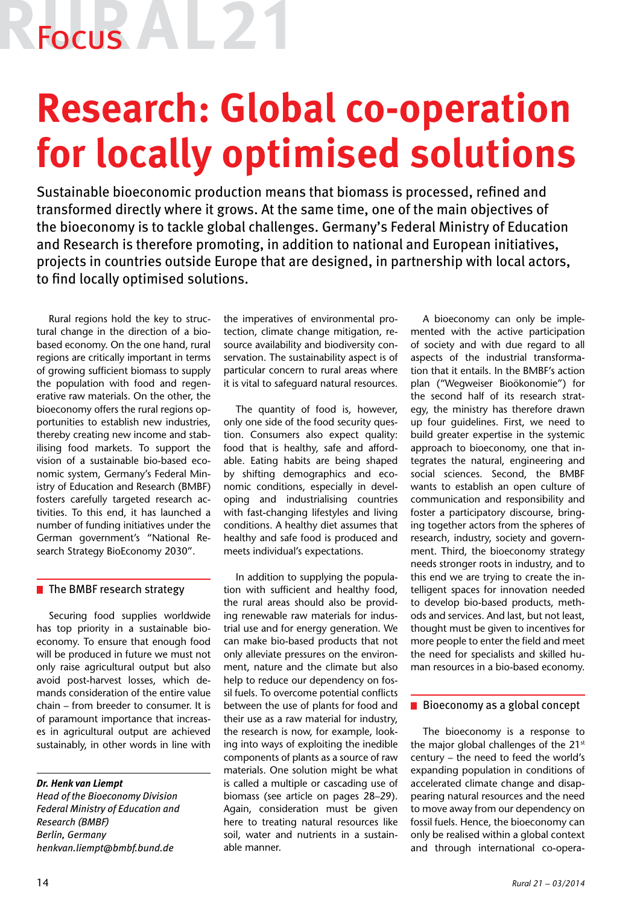Focus **A** 

# **Research: Global co-operation for locally optimised solutions**

Sustainable bioeconomic production means that biomass is processed, refined and transformed directly where it grows. At the same time, one of the main objectives of the bioeconomy is to tackle global challenges. Germany's Federal Ministry of Education and Research is therefore promoting, in addition to national and European initiatives, projects in countries outside Europe that are designed, in partnership with local actors, to find locally optimised solutions.

Rural regions hold the key to structural change in the direction of a biobased economy. On the one hand, rural regions are critically important in terms of growing sufficient biomass to supply the population with food and regenerative raw materials. On the other, the bioeconomy offers the rural regions opportunities to establish new industries, thereby creating new income and stabilising food markets. To support the vision of a sustainable bio-based economic system, Germany's Federal Ministry of Education and Research (BMBF) fosters carefully targeted research activities. To this end, it has launched a number of funding initiatives under the German government's "National Research Strategy BioEconomy 2030".

## $\blacksquare$  The BMBF research strategy

Securing food supplies worldwide has top priority in a sustainable bioeconomy. To ensure that enough food will be produced in future we must not only raise agricultural output but also avoid post-harvest losses, which demands consideration of the entire value chain – from breeder to consumer. It is of paramount importance that increases in agricultural output are achieved sustainably, in other words in line with

*Dr. Henk van Liempt Head of the Bioeconomy Division Federal Ministry of Education and Research (BMBF) Berlin, Germany henkvan.liempt@bmbf.bund.de*

the imperatives of environmental protection, climate change mitigation, resource availability and biodiversity conservation. The sustainability aspect is of particular concern to rural areas where it is vital to safeguard natural resources.

The quantity of food is, however, only one side of the food security question. Consumers also expect quality: food that is healthy, safe and affordable. Eating habits are being shaped by shifting demographics and economic conditions, especially in developing and industrialising countries with fast-changing lifestyles and living conditions. A healthy diet assumes that healthy and safe food is produced and meets individual's expectations.

In addition to supplying the population with sufficient and healthy food, the rural areas should also be providing renewable raw materials for industrial use and for energy generation. We can make bio-based products that not only alleviate pressures on the environment, nature and the climate but also help to reduce our dependency on fossil fuels. To overcome potential conflicts between the use of plants for food and their use as a raw material for industry, the research is now, for example, looking into ways of exploiting the inedible components of plants as a source of raw materials. One solution might be what is called a multiple or cascading use of biomass (see article on pages 28–29). Again, consideration must be given here to treating natural resources like soil, water and nutrients in a sustainable manner.

A bioeconomy can only be implemented with the active participation of society and with due regard to all aspects of the industrial transformation that it entails. In the BMBF's action plan ("Wegweiser Bioökonomie") for the second half of its research strategy, the ministry has therefore drawn up four guidelines. First, we need to build greater expertise in the systemic approach to bioeconomy, one that integrates the natural, engineering and social sciences. Second, the BMBF wants to establish an open culture of communication and responsibility and foster a participatory discourse, bringing together actors from the spheres of research, industry, society and government. Third, the bioeconomy strategy needs stronger roots in industry, and to this end we are trying to create the intelligent spaces for innovation needed to develop bio-based products, methods and services. And last, but not least, thought must be given to incentives for more people to enter the field and meet the need for specialists and skilled human resources in a bio-based economy.

## $\blacksquare$  Bioeconomy as a global concept

The bioeconomy is a response to the major global challenges of the 21st century – the need to feed the world's expanding population in conditions of accelerated climate change and disappearing natural resources and the need to move away from our dependency on fossil fuels. Hence, the bioeconomy can only be realised within a global context and through international co-opera-